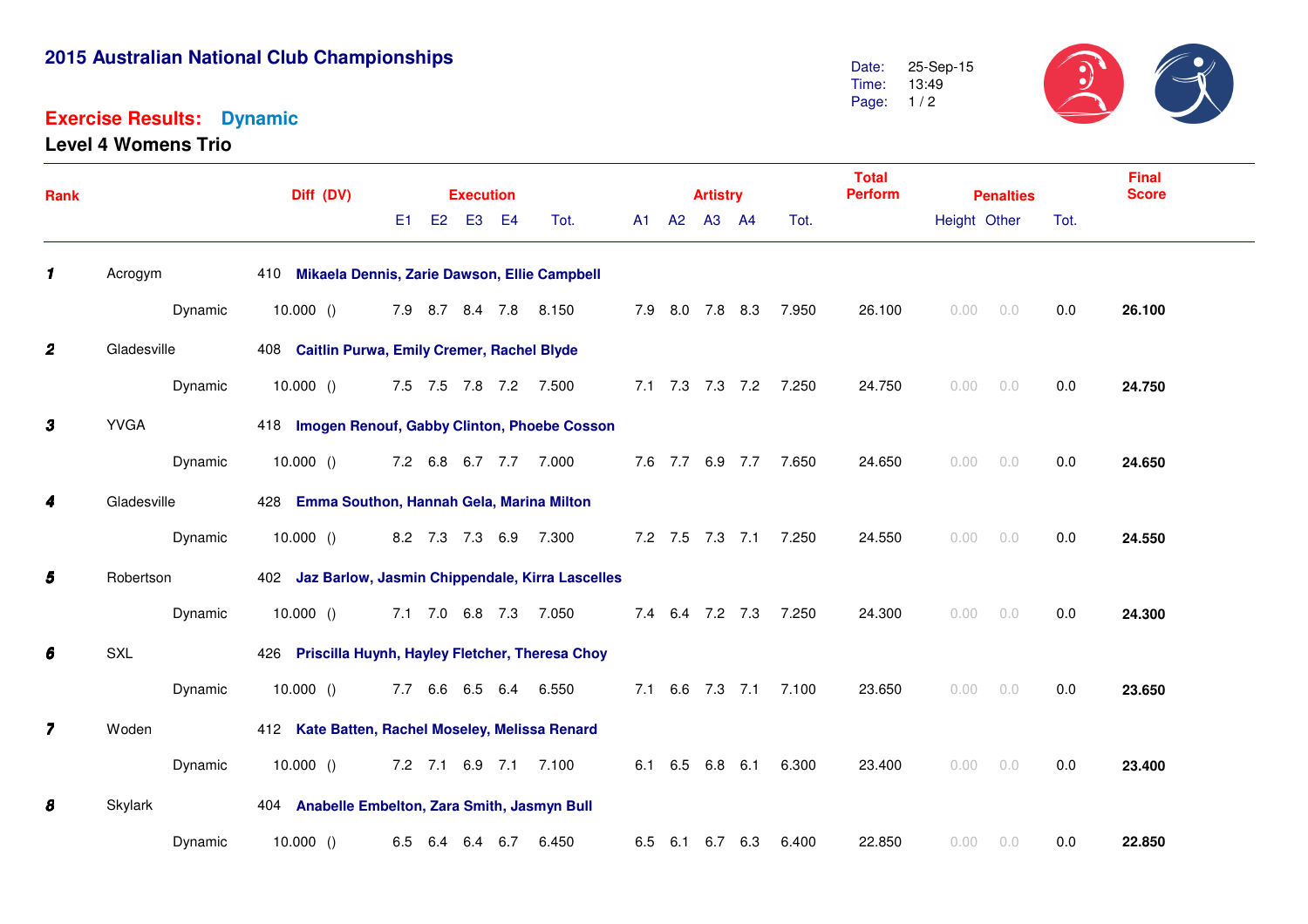## **2015 Australian National Club Championships**

## **Exercise Results:Dynamic**

**Level 4 Womens Trio**



| <b>Rank</b>             |             | Diff (DV)                                           |                       |  |          |  | <b>Artistry</b>       |  |  | <b>Total</b><br><b>Perform</b> | <b>Penalties</b> |                       |        | <b>Final</b><br><b>Score</b> |          |      |        |
|-------------------------|-------------|-----------------------------------------------------|-----------------------|--|----------|--|-----------------------|--|--|--------------------------------|------------------|-----------------------|--------|------------------------------|----------|------|--------|
|                         |             |                                                     | E <sub>1</sub>        |  | E2 E3 E4 |  | Tot.                  |  |  | A1 A2 A3 A4                    |                  | Tot.                  |        | Height Other                 |          | Tot. |        |
| $\mathbf{1}$            | Acrogym     | 410 Mikaela Dennis, Zarie Dawson, Ellie Campbell    |                       |  |          |  |                       |  |  |                                |                  |                       |        |                              |          |      |        |
|                         | Dynamic     | 10.000()                                            | 7.9 8.7 8.4 7.8 8.150 |  |          |  |                       |  |  |                                |                  | 7.9 8.0 7.8 8.3 7.950 | 26.100 | 0.00                         | 0.0      | 0.0  | 26.100 |
| $\boldsymbol{2}$        | Gladesville | 408 Caitlin Purwa, Emily Cremer, Rachel Blyde       |                       |  |          |  |                       |  |  |                                |                  |                       |        |                              |          |      |        |
|                         | Dynamic     | 10.000 () 7.5 7.5 7.8 7.2 7.500                     |                       |  |          |  |                       |  |  |                                |                  | 7.1 7.3 7.3 7.2 7.250 | 24.750 | 0.00                         | 0.0      | 0.0  | 24.750 |
| 3                       | <b>YVGA</b> | 418 Imogen Renouf, Gabby Clinton, Phoebe Cosson     |                       |  |          |  |                       |  |  |                                |                  |                       |        |                              |          |      |        |
|                         | Dynamic     | 10.000 () 7.2 6.8 6.7 7.7 7.000                     |                       |  |          |  |                       |  |  |                                |                  | 7.6 7.7 6.9 7.7 7.650 | 24.650 | 0.00                         | 0.0      | 0.0  | 24.650 |
| 4                       | Gladesville | 428 Emma Southon, Hannah Gela, Marina Milton        |                       |  |          |  |                       |  |  |                                |                  |                       |        |                              |          |      |        |
|                         | Dynamic     | 10.000()                                            |                       |  |          |  | 8.2 7.3 7.3 6.9 7.300 |  |  |                                |                  | 7.2 7.5 7.3 7.1 7.250 | 24.550 | 0.00                         | 0.0      | 0.0  | 24.550 |
| 5                       | Robertson   | 402 Jaz Barlow, Jasmin Chippendale, Kirra Lascelles |                       |  |          |  |                       |  |  |                                |                  |                       |        |                              |          |      |        |
|                         | Dynamic     | 10.000()                                            |                       |  |          |  | 7.1 7.0 6.8 7.3 7.050 |  |  |                                |                  | 7.4 6.4 7.2 7.3 7.250 | 24.300 | 0.00                         | 0.0      | 0.0  | 24.300 |
| 6                       | <b>SXL</b>  | 426 Priscilla Huynh, Hayley Fletcher, Theresa Choy  |                       |  |          |  |                       |  |  |                                |                  |                       |        |                              |          |      |        |
|                         | Dynamic     | 10.000()                                            |                       |  |          |  | 7.7 6.6 6.5 6.4 6.550 |  |  |                                |                  | 7.1 6.6 7.3 7.1 7.100 | 23.650 | 0.00                         | 0.0      | 0.0  | 23.650 |
| $\overline{\mathbf{z}}$ | Woden       | 412 Kate Batten, Rachel Moseley, Melissa Renard     |                       |  |          |  |                       |  |  |                                |                  |                       |        |                              |          |      |        |
|                         | Dynamic     | 10.000()                                            |                       |  |          |  | 7.2 7.1 6.9 7.1 7.100 |  |  |                                | 6.1 6.5 6.8 6.1  | 6.300                 | 23.400 |                              | 0.00 0.0 | 0.0  | 23.400 |
| 8                       | Skylark     | 404 Anabelle Embelton, Zara Smith, Jasmyn Bull      |                       |  |          |  |                       |  |  |                                |                  |                       |        |                              |          |      |        |
|                         | Dynamic     | 10.000()                                            | 6.5 6.4               |  | 6.4 6.7  |  | 6.450                 |  |  |                                | 6.5 6.1 6.7 6.3  | 6.400                 | 22.850 | 0.00                         | 0.0      | 0.0  | 22.850 |